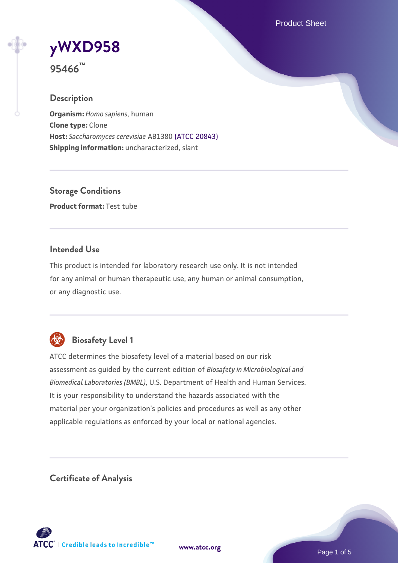Product Sheet

# **[yWXD958](https://www.atcc.org/products/95466)**

**95466™**

# **Description**

**Organism:** *Homo sapiens*, human **Clone type:** Clone **Host:** *Saccharomyces cerevisiae* AB1380 [\(ATCC 20843\)](https://www.atcc.org/products/20843) **Shipping information:** uncharacterized, slant

**Storage Conditions Product format:** Test tube

# **Intended Use**

This product is intended for laboratory research use only. It is not intended for any animal or human therapeutic use, any human or animal consumption, or any diagnostic use.



# **Biosafety Level 1**

ATCC determines the biosafety level of a material based on our risk assessment as guided by the current edition of *Biosafety in Microbiological and Biomedical Laboratories (BMBL)*, U.S. Department of Health and Human Services. It is your responsibility to understand the hazards associated with the material per your organization's policies and procedures as well as any other applicable regulations as enforced by your local or national agencies.

**Certificate of Analysis**

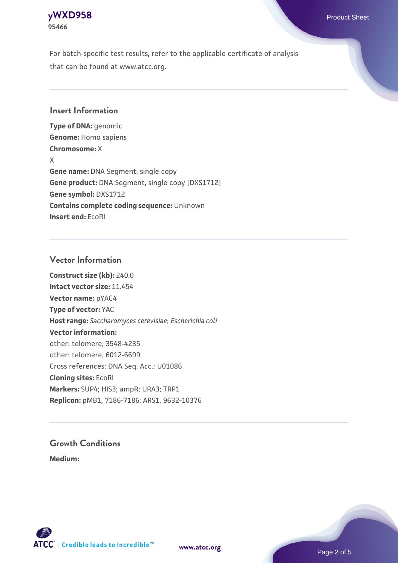# **[yWXD958](https://www.atcc.org/products/95466)** Product Sheet **95466**

For batch-specific test results, refer to the applicable certificate of analysis that can be found at www.atcc.org.

# **Insert Information**

**Type of DNA:** genomic **Genome:** Homo sapiens **Chromosome:** X X **Gene name:** DNA Segment, single copy **Gene product:** DNA Segment, single copy [DXS1712] **Gene symbol:** DXS1712 **Contains complete coding sequence:** Unknown **Insert end:** EcoRI

# **Vector Information**

**Construct size (kb):** 240.0 **Intact vector size:** 11.454 **Vector name:** pYAC4 **Type of vector:** YAC **Host range:** *Saccharomyces cerevisiae*; *Escherichia coli* **Vector information:** other: telomere, 3548-4235 other: telomere, 6012-6699 Cross references: DNA Seq. Acc.: U01086 **Cloning sites:** EcoRI **Markers:** SUP4; HIS3; ampR; URA3; TRP1 **Replicon:** pMB1, 7186-7186; ARS1, 9632-10376

# **Growth Conditions**

**Medium:** 



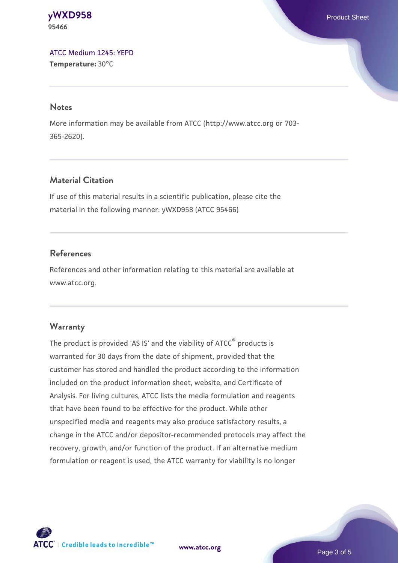**[yWXD958](https://www.atcc.org/products/95466)** Product Sheet **95466**

[ATCC Medium 1245: YEPD](https://www.atcc.org/-/media/product-assets/documents/microbial-media-formulations/1/2/4/5/atcc-medium-1245.pdf?rev=705ca55d1b6f490a808a965d5c072196) **Temperature:** 30°C

#### **Notes**

More information may be available from ATCC (http://www.atcc.org or 703- 365-2620).

# **Material Citation**

If use of this material results in a scientific publication, please cite the material in the following manner: yWXD958 (ATCC 95466)

# **References**

References and other information relating to this material are available at www.atcc.org.

#### **Warranty**

The product is provided 'AS IS' and the viability of ATCC® products is warranted for 30 days from the date of shipment, provided that the customer has stored and handled the product according to the information included on the product information sheet, website, and Certificate of Analysis. For living cultures, ATCC lists the media formulation and reagents that have been found to be effective for the product. While other unspecified media and reagents may also produce satisfactory results, a change in the ATCC and/or depositor-recommended protocols may affect the recovery, growth, and/or function of the product. If an alternative medium formulation or reagent is used, the ATCC warranty for viability is no longer



**[www.atcc.org](http://www.atcc.org)**

Page 3 of 5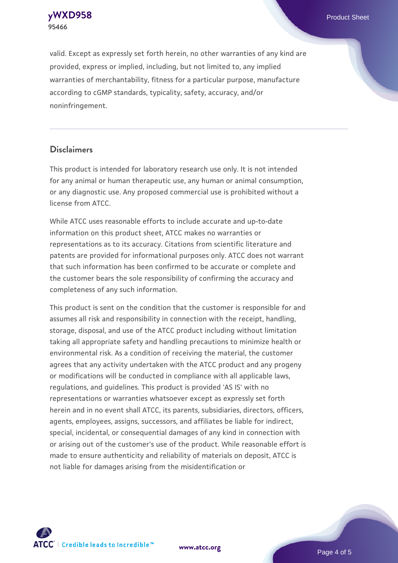**[yWXD958](https://www.atcc.org/products/95466)** Product Sheet **95466**

valid. Except as expressly set forth herein, no other warranties of any kind are provided, express or implied, including, but not limited to, any implied warranties of merchantability, fitness for a particular purpose, manufacture according to cGMP standards, typicality, safety, accuracy, and/or noninfringement.

#### **Disclaimers**

This product is intended for laboratory research use only. It is not intended for any animal or human therapeutic use, any human or animal consumption, or any diagnostic use. Any proposed commercial use is prohibited without a license from ATCC.

While ATCC uses reasonable efforts to include accurate and up-to-date information on this product sheet, ATCC makes no warranties or representations as to its accuracy. Citations from scientific literature and patents are provided for informational purposes only. ATCC does not warrant that such information has been confirmed to be accurate or complete and the customer bears the sole responsibility of confirming the accuracy and completeness of any such information.

This product is sent on the condition that the customer is responsible for and assumes all risk and responsibility in connection with the receipt, handling, storage, disposal, and use of the ATCC product including without limitation taking all appropriate safety and handling precautions to minimize health or environmental risk. As a condition of receiving the material, the customer agrees that any activity undertaken with the ATCC product and any progeny or modifications will be conducted in compliance with all applicable laws, regulations, and guidelines. This product is provided 'AS IS' with no representations or warranties whatsoever except as expressly set forth herein and in no event shall ATCC, its parents, subsidiaries, directors, officers, agents, employees, assigns, successors, and affiliates be liable for indirect, special, incidental, or consequential damages of any kind in connection with or arising out of the customer's use of the product. While reasonable effort is made to ensure authenticity and reliability of materials on deposit, ATCC is not liable for damages arising from the misidentification or



**[www.atcc.org](http://www.atcc.org)**

Page 4 of 5